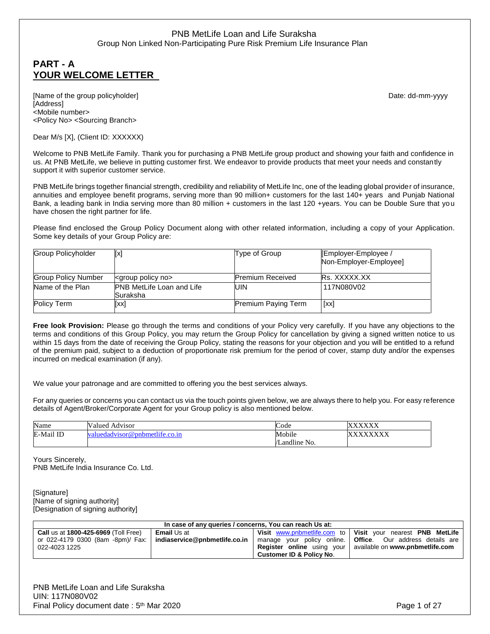# **PART - A YOUR WELCOME LETTER**

[Name of the group policyholder] example and the group of the group of the group of the group of the group of the group of the group of the group of the group of the group of the group of the group of the group of the grou [Address] <Mobile number> <Policy No> <Sourcing Branch>

Dear M/s [X], (Client ID: XXXXXX)

Welcome to PNB MetLife Family. Thank you for purchasing a PNB MetLife group product and showing your faith and confidence in us. At PNB MetLife, we believe in putting customer first. We endeavor to provide products that meet your needs and constantly support it with superior customer service.

PNB MetLife brings together financial strength, credibility and reliability of MetLife Inc, one of the leading global provider of insurance, annuities and employee benefit programs, serving more than 90 million+ customers for the last 140+ years and Punjab National Bank, a leading bank in India serving more than 80 million + customers in the last 120 +years. You can be Double Sure that you have chosen the right partner for life.

Please find enclosed the Group Policy Document along with other related information, including a copy of your Application. Some key details of your Group Policy are:

| <b>Group Policyholder</b>  | [x]                                          | Type of Group              | [Employer-Employee /<br>Non-Employer-Employee] |
|----------------------------|----------------------------------------------|----------------------------|------------------------------------------------|
| <b>Group Policy Number</b> | <group no="" policy=""></group>              | <b>Premium Received</b>    | Rs. XXXXX.XX                                   |
| Name of the Plan           | <b>PNB MetLife Loan and Life</b><br>Suraksha | UIN                        | 117N080V02                                     |
| <b>Policy Term</b>         | [xx]                                         | <b>Premium Paying Term</b> | $\lceil$ xx $\rceil$                           |

**Free look Provision:** Please go through the terms and conditions of your Policy very carefully. If you have any objections to the terms and conditions of this Group Policy, you may return the Group Policy for cancellation by giving a signed written notice to us within 15 days from the date of receiving the Group Policy, stating the reasons for your objection and you will be entitled to a refund of the premium paid, subject to a deduction of proportionate risk premium for the period of cover, stamp duty and/or the expenses incurred on medical examination (if any).

We value your patronage and are committed to offering you the best services always.

For any queries or concerns you can contact us via the touch points given below, we are always there to help you. For easy reference details of Agent/Broker/Corporate Agent for your Group policy is also mentioned below.

| Name         | Valued Advisor              | Code                     | ,,,,,,,,<br>$\Lambda\Lambda\Lambda$ |
|--------------|-----------------------------|--------------------------|-------------------------------------|
| E-Mail<br>ID | edadvisor@pnbmetlife.co.in_ | Mobile                   | $\Delta \Delta \Delta \Delta$       |
|              |                             | $\cdots$<br>Landline No. |                                     |

Yours Sincerely, PNB MetLife India Insurance Co. Ltd.

[Signature] [Name of signing authority] [Designation of signing authority]

| In case of any queries / concerns, You can reach Us at:           |                    |                                     |                                                                    |  |
|-------------------------------------------------------------------|--------------------|-------------------------------------|--------------------------------------------------------------------|--|
| <b>Call us at 1800-425-6969 (Toll Free)</b>                       | <b>Email</b> Us at |                                     | Visit www.pnbmetlife.com to   Visit your nearest PNB MetLife       |  |
| or 022-4179 0300 (8am -8pm)/ Fax:   indiaservice@pnbmetlife.co.in |                    |                                     | manage your policy online. <b>Office</b> . Our address details are |  |
| 022-4023 1225                                                     |                    |                                     | <b>Register online</b> using your available on www.pnbmetlife.com  |  |
|                                                                   |                    | <b>Customer ID &amp; Policy No.</b> |                                                                    |  |

PNB MetLife Loan and Life Suraksha UIN: 117N080V02 Final Policy document date: 5<sup>th</sup> Mar 2020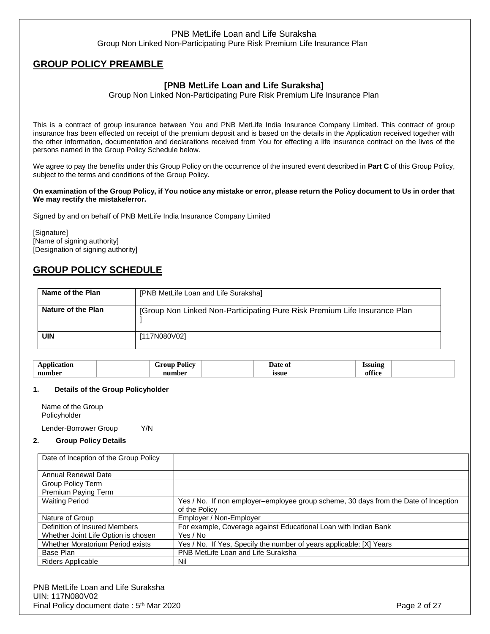# **GROUP POLICY PREAMBLE**

# **[PNB MetLife Loan and Life Suraksha]**

Group Non Linked Non-Participating Pure Risk Premium Life Insurance Plan

This is a contract of group insurance between You and PNB MetLife India Insurance Company Limited. This contract of group insurance has been effected on receipt of the premium deposit and is based on the details in the Application received together with the other information, documentation and declarations received from You for effecting a life insurance contract on the lives of the persons named in the Group Policy Schedule below.

We agree to pay the benefits under this Group Policy on the occurrence of the insured event described in **Part C** of this Group Policy, subject to the terms and conditions of the Group Policy.

#### **On examination of the Group Policy, if You notice any mistake or error, please return the Policy document to Us in order that We may rectify the mistake/error.**

Signed by and on behalf of PNB MetLife India Insurance Company Limited

[Signature] [Name of signing authority] [Designation of signing authority]

# **GROUP POLICY SCHEDULE**

| Name of the Plan   | [PNB MetLife Loan and Life Suraksha]                                      |
|--------------------|---------------------------------------------------------------------------|
| Nature of the Plan | [Group Non Linked Non-Participating Pure Risk Premium Life Insurance Plan |
| UIN                | [117N080V02]                                                              |

| $\mathbf{r}$ | 'olıcv   | Jate<br>. | cennno |  |
|--------------|----------|-----------|--------|--|
| mumher       | $\cdots$ | ıssue     |        |  |

### **1. Details of the Group Policyholder**

Name of the Group Policyholder

Lender-Borrower Group Y/N

### **2. Group Policy Details**

| Date of Inception of the Group Policy |                                                                                     |
|---------------------------------------|-------------------------------------------------------------------------------------|
|                                       |                                                                                     |
| <b>Annual Renewal Date</b>            |                                                                                     |
| Group Policy Term                     |                                                                                     |
| Premium Paying Term                   |                                                                                     |
| <b>Waiting Period</b>                 | Yes / No. If non employer-employee group scheme, 30 days from the Date of Inception |
|                                       | of the Policy                                                                       |
| Nature of Group                       | Employer / Non-Employer                                                             |
| Definition of Insured Members         | For example, Coverage against Educational Loan with Indian Bank                     |
| Whether Joint Life Option is chosen   | Yes / No                                                                            |
| Whether Moratorium Period exists      | Yes / No. If Yes, Specify the number of years applicable: [X] Years                 |
| Base Plan                             | PNB MetLife Loan and Life Suraksha                                                  |
| Riders Applicable                     | Nil                                                                                 |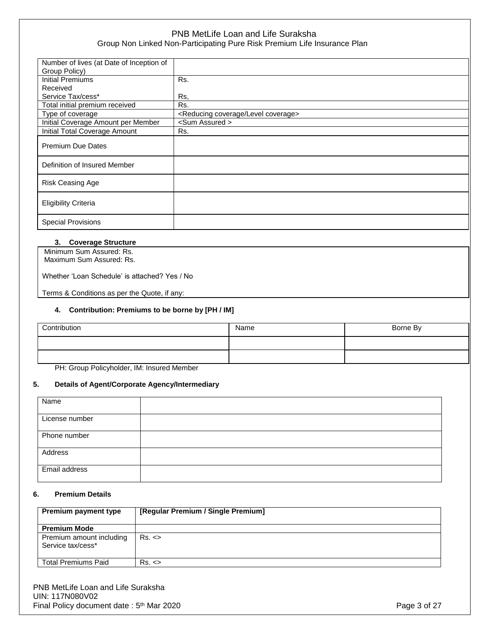| Rs.                                        |
|--------------------------------------------|
|                                            |
| Rs.                                        |
| Rs.                                        |
| <reducing coverage="" level=""></reducing> |
| <sum assured=""></sum>                     |
| Rs.                                        |
|                                            |
|                                            |
|                                            |
|                                            |
|                                            |
|                                            |
|                                            |
|                                            |
|                                            |
|                                            |
|                                            |
|                                            |

### **3. Coverage Structure**

| Minimum Sum Assured: Rs.<br>Maximum Sum Assured: Rs. |
|------------------------------------------------------|
| Whether 'Loan Schedule' is attached? Yes / No        |

Terms & Conditions as per the Quote, if any:

### **4. Contribution: Premiums to be borne by [PH / IM]**

| Contribution | Name | Borne By |
|--------------|------|----------|
|              |      |          |
|              |      |          |

PH: Group Policyholder, IM: Insured Member

### **5. Details of Agent/Corporate Agency/Intermediary**

| Name           |  |
|----------------|--|
|                |  |
| License number |  |
|                |  |
| Phone number   |  |
|                |  |
| Address        |  |
|                |  |
| Email address  |  |
|                |  |

#### **6. Premium Details**

| Premium payment type                          | [Regular Premium / Single Premium] |
|-----------------------------------------------|------------------------------------|
| <b>Premium Mode</b>                           |                                    |
| Premium amount including<br>Service tax/cess* | Rs. <                              |
| <b>Total Premiums Paid</b>                    | $Rs. \leq$                         |

PNB MetLife Loan and Life Suraksha UIN: 117N080V02 Final Policy document date: 5<sup>th</sup> Mar 2020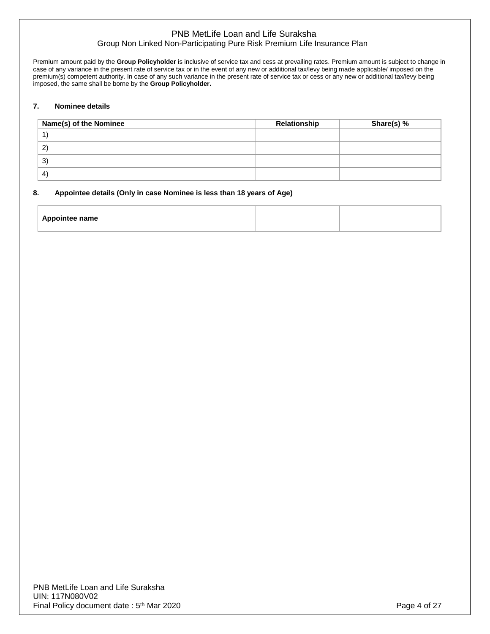Premium amount paid by the **Group Policyholder** is inclusive of service tax and cess at prevailing rates. Premium amount is subject to change in case of any variance in the present rate of service tax or in the event of any new or additional tax/levy being made applicable/ imposed on the premium(s) competent authority. In case of any such variance in the present rate of service tax or cess or any new or additional tax/levy being imposed, the same shall be borne by the **Group Policyholder.** 

### **7. Nominee details**

| Name(s) of the Nominee | Relationship | Share(s) % |
|------------------------|--------------|------------|
|                        |              |            |
| $\mathbf{2}^{\prime}$  |              |            |
| $\mathcal{E}$          |              |            |
| $\sim$                 |              |            |

#### **8. Appointee details (Only in case Nominee is less than 18 years of Age)**

| <b>Appointee name</b> |  |
|-----------------------|--|
|                       |  |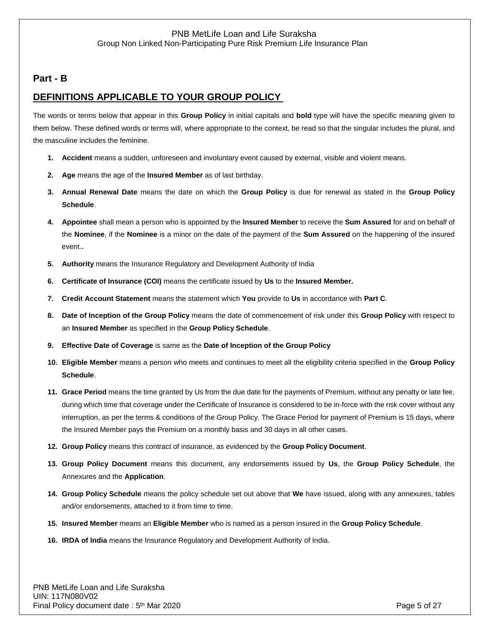# **Part - B**

# **DEFINITIONS APPLICABLE TO YOUR GROUP POLICY**

The words or terms below that appear in this **Group Policy** in initial capitals and **bold** type will have the specific meaning given to them below. These defined words or terms will, where appropriate to the context, be read so that the singular includes the plural, and the masculine includes the feminine.

- **1. Accident** means a sudden, unforeseen and involuntary event caused by external, visible and violent means.
- **2. Age** means the age of the **Insured Member** as of last birthday.
- **3. Annual Renewal Date** means the date on which the **Group Policy** is due for renewal as stated in the **Group Policy Schedule**.
- **4. Appointee** shall mean a person who is appointed by the **Insured Member** to receive the **Sum Assured** for and on behalf of the **Nominee**, if the **Nominee** is a minor on the date of the payment of the **Sum Assured** on the happening of the insured event.**.**
- **5. Authority** means the Insurance Regulatory and Development Authority of India
- **6. Certificate of Insurance (COI)** means the certificate issued by **Us** to the **Insured Member.**
- **7. Credit Account Statement** means the statement which **You** provide to **Us** in accordance with **Part C**.
- **8. Date of Inception of the Group Policy** means the date of commencement of risk under this **Group Policy** with respect to an **Insured Member** as specified in the **Group Policy Schedule**.
- **9. Effective Date of Coverage** is same as the **Date of Inception of the Group Policy**
- **10. Eligible Member** means a person who meets and continues to meet all the eligibility criteria specified in the **Group Policy Schedule**.
- **11. Grace Period** means the time granted by Us from the due date for the payments of Premium, without any penalty or late fee, during which time that coverage under the Certificate of Insurance is considered to be in-force with the risk cover without any interruption, as per the terms & conditions of the Group Policy. The Grace Period for payment of Premium is 15 days, where the Insured Member pays the Premium on a monthly basis and 30 days in all other cases.
- **12. Group Policy** means this contract of insurance, as evidenced by the **Group Policy Document**.
- **13. Group Policy Document** means this document, any endorsements issued by **Us**, the **Group Policy Schedule**, the Annexures and the **Application**.
- **14. Group Policy Schedule** means the policy schedule set out above that **We** have issued, along with any annexures, tables and/or endorsements, attached to it from time to time.
- **15. Insured Member** means an **Eligible Member** who is named as a person insured in the **Group Policy Schedule**.
- **16. IRDA of India** means the Insurance Regulatory and Development Authority of India.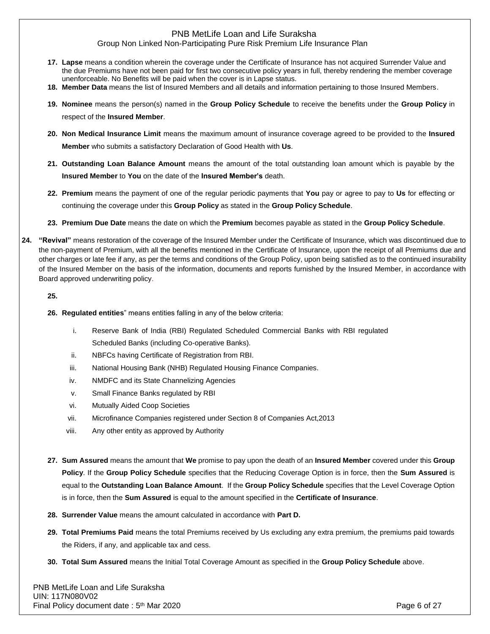### Group Non Linked Non-Participating Pure Risk Premium Life Insurance Plan

- **17. Lapse** means a condition wherein the coverage under the Certificate of Insurance has not acquired Surrender Value and the due Premiums have not been paid for first two consecutive policy years in full, thereby rendering the member coverage unenforceable. No Benefits will be paid when the cover is in Lapse status.
- **18. Member Data** means the list of Insured Members and all details and information pertaining to those Insured Members.
- **19. Nominee** means the person(s) named in the **Group Policy Schedule** to receive the benefits under the **Group Policy** in respect of the **Insured Member**.
- **20. Non Medical Insurance Limit** means the maximum amount of insurance coverage agreed to be provided to the **Insured Member** who submits a satisfactory Declaration of Good Health with **Us**.
- **21. Outstanding Loan Balance Amount** means the amount of the total outstanding loan amount which is payable by the **Insured Member** to **You** on the date of the **Insured Member's** death.
- **22. Premium** means the payment of one of the regular periodic payments that **You** pay or agree to pay to **Us** for effecting or continuing the coverage under this **Group Policy** as stated in the **Group Policy Schedule**.
- **23. Premium Due Date** means the date on which the **Premium** becomes payable as stated in the **Group Policy Schedule**.
- **24. "Revival"** means restoration of the coverage of the Insured Member under the Certificate of Insurance, which was discontinued due to the non-payment of Premium, with all the benefits mentioned in the Certificate of Insurance, upon the receipt of all Premiums due and other charges or late fee if any, as per the terms and conditions of the Group Policy, upon being satisfied as to the continued insurability of the Insured Member on the basis of the information, documents and reports furnished by the Insured Member, in accordance with Board approved underwriting policy.

#### **25.**

- **26. Regulated entities**" means entities falling in any of the below criteria:
	- i. Reserve Bank of India (RBI) Regulated Scheduled Commercial Banks with RBI regulated Scheduled Banks (including Co-operative Banks).
	- ii. NBFCs having Certificate of Registration from RBI.
	- iii. National Housing Bank (NHB) Regulated Housing Finance Companies.
	- iv. NMDFC and its State Channelizing Agencies
	- v. Small Finance Banks regulated by RBI
	- vi. Mutually Aided Coop Societies
	- vii. Microfinance Companies registered under Section 8 of Companies Act,2013
	- viii. Any other entity as approved by Authority
- **27. Sum Assured** means the amount that **We** promise to pay upon the death of an **Insured Member** covered under this **Group Policy**. If the **Group Policy Schedule** specifies that the Reducing Coverage Option is in force, then the **Sum Assured** is equal to the **Outstanding Loan Balance Amount**. If the **Group Policy Schedule** specifies that the Level Coverage Option is in force, then the **Sum Assured** is equal to the amount specified in the **Certificate of Insurance**.
- **28. Surrender Value** means the amount calculated in accordance with **Part D.**
- **29. Total Premiums Paid** means the total Premiums received by Us excluding any extra premium, the premiums paid towards the Riders, if any, and applicable tax and cess.
- **30. Total Sum Assured** means the Initial Total Coverage Amount as specified in the **Group Policy Schedule** above.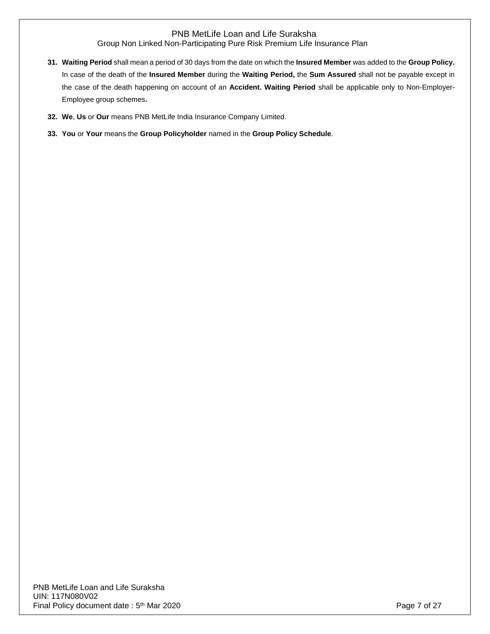- **31. Waiting Period** shall mean a period of 30 days from the date on which the **Insured Member** was added to the **Group Policy.**  In case of the death of the **Insured Member** during the **Waiting Period,** the **Sum Assured** shall not be payable except in the case of the death happening on account of an **Accident. Waiting Period** shall be applicable only to Non-Employer-Employee group schemes**.**
- **32. We**, **Us** or **Our** means PNB MetLife India Insurance Company Limited.
- **33. You** or **Your** means the **Group Policyholder** named in the **Group Policy Schedule**.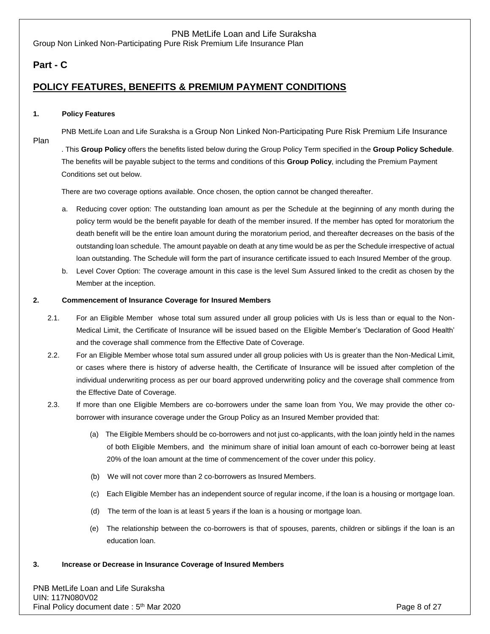Group Non Linked Non-Participating Pure Risk Premium Life Insurance Plan

# **Part - C**

# **POLICY FEATURES, BENEFITS & PREMIUM PAYMENT CONDITIONS**

#### **1. Policy Features**

Plan

PNB MetLife Loan and Life Suraksha is a Group Non Linked Non-Participating Pure Risk Premium Life Insurance

. This **Group Policy** offers the benefits listed below during the Group Policy Term specified in the **Group Policy Schedule**. The benefits will be payable subject to the terms and conditions of this **Group Policy**, including the Premium Payment Conditions set out below.

There are two coverage options available. Once chosen, the option cannot be changed thereafter.

- a. Reducing cover option: The outstanding loan amount as per the Schedule at the beginning of any month during the policy term would be the benefit payable for death of the member insured. If the member has opted for moratorium the death benefit will be the entire loan amount during the moratorium period, and thereafter decreases on the basis of the outstanding loan schedule. The amount payable on death at any time would be as per the Schedule irrespective of actual loan outstanding. The Schedule will form the part of insurance certificate issued to each Insured Member of the group.
- b. Level Cover Option: The coverage amount in this case is the level Sum Assured linked to the credit as chosen by the Member at the inception.

#### **2. Commencement of Insurance Coverage for Insured Members**

- 2.1. For an Eligible Member whose total sum assured under all group policies with Us is less than or equal to the Non-Medical Limit, the Certificate of Insurance will be issued based on the Eligible Member's 'Declaration of Good Health' and the coverage shall commence from the Effective Date of Coverage.
- 2.2. For an Eligible Member whose total sum assured under all group policies with Us is greater than the Non-Medical Limit, or cases where there is history of adverse health, the Certificate of Insurance will be issued after completion of the individual underwriting process as per our board approved underwriting policy and the coverage shall commence from the Effective Date of Coverage.
- 2.3. If more than one Eligible Members are co-borrowers under the same loan from You, We may provide the other coborrower with insurance coverage under the Group Policy as an Insured Member provided that:
	- (a) The Eligible Members should be co-borrowers and not just co-applicants, with the loan jointly held in the names of both Eligible Members, and the minimum share of initial loan amount of each co-borrower being at least 20% of the loan amount at the time of commencement of the cover under this policy.
	- (b) We will not cover more than 2 co-borrowers as Insured Members.
	- (c) Each Eligible Member has an independent source of regular income, if the loan is a housing or mortgage loan.
	- (d) The term of the loan is at least 5 years if the loan is a housing or mortgage loan.
	- (e) The relationship between the co-borrowers is that of spouses, parents, children or siblings if the loan is an education loan.
- **3. Increase or Decrease in Insurance Coverage of Insured Members**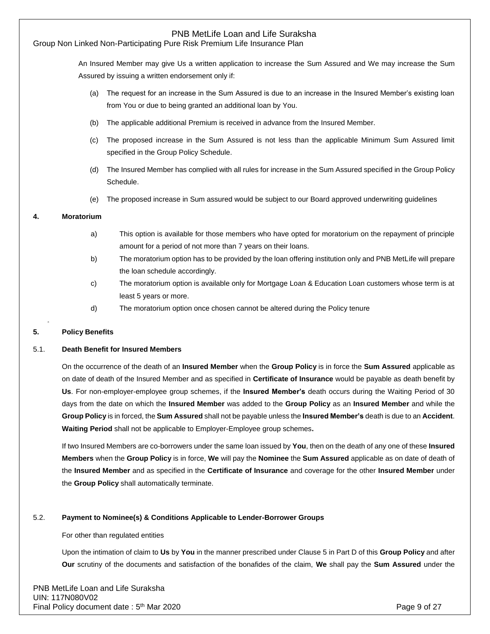## Group Non Linked Non-Participating Pure Risk Premium Life Insurance Plan

An Insured Member may give Us a written application to increase the Sum Assured and We may increase the Sum Assured by issuing a written endorsement only if:

- (a) The request for an increase in the Sum Assured is due to an increase in the Insured Member's existing loan from You or due to being granted an additional loan by You.
- (b) The applicable additional Premium is received in advance from the Insured Member.
- (c) The proposed increase in the Sum Assured is not less than the applicable Minimum Sum Assured limit specified in the Group Policy Schedule.
- (d) The Insured Member has complied with all rules for increase in the Sum Assured specified in the Group Policy Schedule.
- (e) The proposed increase in Sum assured would be subject to our Board approved underwriting guidelines

#### **4. Moratorium**

- a) This option is available for those members who have opted for moratorium on the repayment of principle amount for a period of not more than 7 years on their loans.
- b) The moratorium option has to be provided by the loan offering institution only and PNB MetLife will prepare the loan schedule accordingly.
- c) The moratorium option is available only for Mortgage Loan & Education Loan customers whose term is at least 5 years or more.
- d) The moratorium option once chosen cannot be altered during the Policy tenure

### **5. Policy Benefits**

#### 5.1. **Death Benefit for Insured Members**

On the occurrence of the death of an **Insured Member** when the **Group Policy** is in force the **Sum Assured** applicable as on date of death of the Insured Member and as specified in **Certificate of Insurance** would be payable as death benefit by **Us**. For non-employer-employee group schemes, if the **Insured Member's** death occurs during the Waiting Period of 30 days from the date on which the **Insured Member** was added to the **Group Policy** as an **Insured Member** and while the **Group Policy** is in forced, the **Sum Assured** shall not be payable unless the **Insured Member's** death is due to an **Accident**. **Waiting Period** shall not be applicable to Employer-Employee group schemes**.**

If two Insured Members are co-borrowers under the same loan issued by **You**, then on the death of any one of these **Insured Members** when the **Group Policy** is in force, **We** will pay the **Nominee** the **Sum Assured** applicable as on date of death of the **Insured Member** and as specified in the **Certificate of Insurance** and coverage for the other **Insured Member** under the **Group Policy** shall automatically terminate.

#### 5.2. **Payment to Nominee(s) & Conditions Applicable to Lender-Borrower Groups**

#### For other than regulated entities

Upon the intimation of claim to **Us** by **You** in the manner prescribed under Clause 5 in Part D of this **Group Policy** and after **Our** scrutiny of the documents and satisfaction of the bonafides of the claim, **We** shall pay the **Sum Assured** under the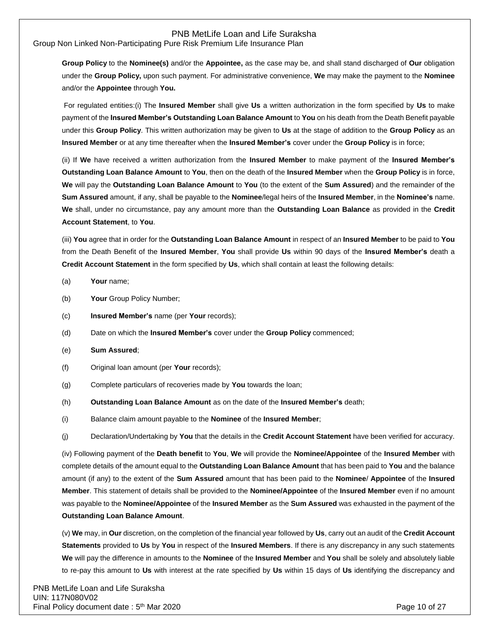Group Non Linked Non-Participating Pure Risk Premium Life Insurance Plan

**Group Policy** to the **Nominee(s)** and/or the **Appointee,** as the case may be, and shall stand discharged of **Our** obligation under the **Group Policy,** upon such payment. For administrative convenience, **We** may make the payment to the **Nominee**  and/or the **Appointee** through **You.**

For regulated entities:(i) The **Insured Member** shall give **Us** a written authorization in the form specified by **Us** to make payment of the **Insured Member's Outstanding Loan Balance Amount** to **You** on his death from the Death Benefit payable under this **Group Policy**. This written authorization may be given to **Us** at the stage of addition to the **Group Policy** as an **Insured Member** or at any time thereafter when the **Insured Member's** cover under the **Group Policy** is in force;

(ii) If **We** have received a written authorization from the **Insured Member** to make payment of the **Insured Member's Outstanding Loan Balance Amount** to **You**, then on the death of the **Insured Member** when the **Group Policy** is in force, **We** will pay the **Outstanding Loan Balance Amount** to **You** (to the extent of the **Sum Assured**) and the remainder of the **Sum Assured** amount, if any, shall be payable to the **Nominee**/legal heirs of the **Insured Member**, in the **Nominee's** name. **We** shall, under no circumstance, pay any amount more than the **Outstanding Loan Balance** as provided in the **Credit Account Statement**, to **You**.

(iii) **You** agree that in order for the **Outstanding Loan Balance Amount** in respect of an **Insured Member** to be paid to **You** from the Death Benefit of the **Insured Member**, **You** shall provide **Us** within 90 days of the **Insured Member's** death a **Credit Account Statement** in the form specified by **Us**, which shall contain at least the following details:

- (a) **Your** name;
- (b) **Your** Group Policy Number;
- (c) **Insured Member's** name (per **Your** records);
- (d) Date on which the **Insured Member's** cover under the **Group Policy** commenced;
- (e) **Sum Assured**;
- (f) Original loan amount (per **Your** records);
- (g) Complete particulars of recoveries made by **You** towards the loan;
- (h) **Outstanding Loan Balance Amount** as on the date of the **Insured Member's** death;
- (i) Balance claim amount payable to the **Nominee** of the **Insured Member**;
- (j) Declaration/Undertaking by **You** that the details in the **Credit Account Statement** have been verified for accuracy.

(iv) Following payment of the **Death benefit** to **You**, **We** will provide the **Nominee/Appointee** of the **Insured Member** with complete details of the amount equal to the **Outstanding Loan Balance Amount** that has been paid to **You** and the balance amount (if any) to the extent of the **Sum Assured** amount that has been paid to the **Nominee**/ **Appointee** of the **Insured Member**. This statement of details shall be provided to the **Nominee/Appointee** of the **Insured Member** even if no amount was payable to the **Nominee/Appointee** of the **Insured Member** as the **Sum Assured** was exhausted in the payment of the **Outstanding Loan Balance Amount**.

(v) **We** may, in **Our** discretion, on the completion of the financial year followed by **Us**, carry out an audit of the **Credit Account Statements** provided to **Us** by **You** in respect of the **Insured Members**. If there is any discrepancy in any such statements **We** will pay the difference in amounts to the **Nominee** of the **Insured Member** and **You** shall be solely and absolutely liable to re-pay this amount to **Us** with interest at the rate specified by **Us** within 15 days of **Us** identifying the discrepancy and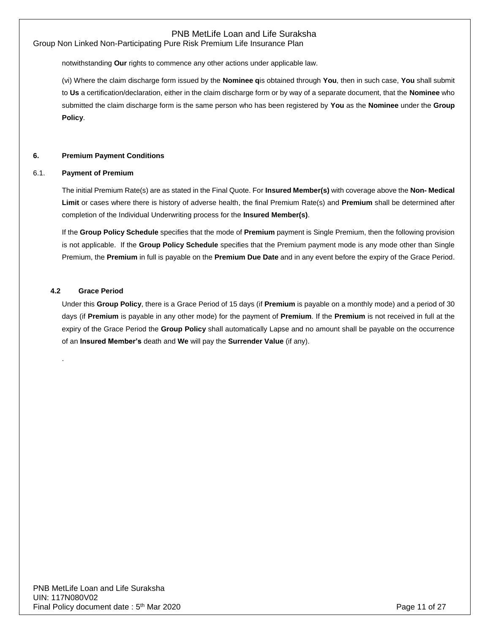Group Non Linked Non-Participating Pure Risk Premium Life Insurance Plan

notwithstanding **Our** rights to commence any other actions under applicable law.

(vi) Where the claim discharge form issued by the **Nominee q**is obtained through **You**, then in such case, **You** shall submit to **Us** a certification/declaration, either in the claim discharge form or by way of a separate document, that the **Nominee** who submitted the claim discharge form is the same person who has been registered by **You** as the **Nominee** under the **Group Policy**.

#### **6. Premium Payment Conditions**

#### 6.1. **Payment of Premium**

The initial Premium Rate(s) are as stated in the Final Quote. For **Insured Member(s)** with coverage above the **Non- Medical Limit** or cases where there is history of adverse health, the final Premium Rate(s) and **Premium** shall be determined after completion of the Individual Underwriting process for the **Insured Member(s)**.

If the **Group Policy Schedule** specifies that the mode of **Premium** payment is Single Premium, then the following provision is not applicable. If the **Group Policy Schedule** specifies that the Premium payment mode is any mode other than Single Premium, the **Premium** in full is payable on the **Premium Due Date** and in any event before the expiry of the Grace Period.

#### **4.2 Grace Period**

.

Under this **Group Policy**, there is a Grace Period of 15 days (if **Premium** is payable on a monthly mode) and a period of 30 days (if **Premium** is payable in any other mode) for the payment of **Premium**. If the **Premium** is not received in full at the expiry of the Grace Period the **Group Policy** shall automatically Lapse and no amount shall be payable on the occurrence of an **Insured Member's** death and **We** will pay the **Surrender Value** (if any).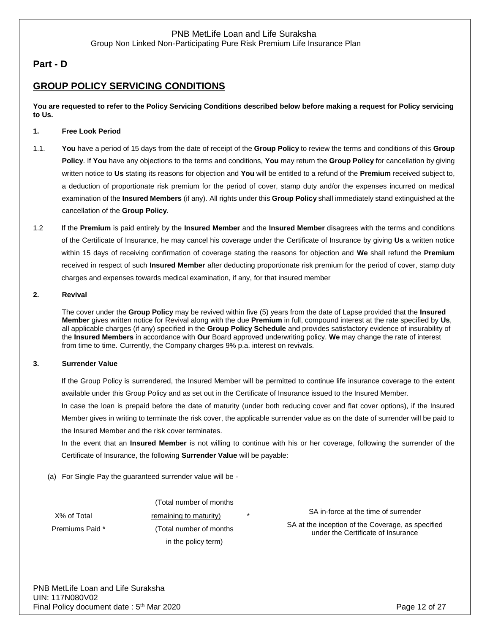# **Part - D**

# **GROUP POLICY SERVICING CONDITIONS**

**You are requested to refer to the Policy Servicing Conditions described below before making a request for Policy servicing to Us.**

#### **1. Free Look Period**

- 1.1. **You** have a period of 15 days from the date of receipt of the **Group Policy** to review the terms and conditions of this **Group Policy**. If **You** have any objections to the terms and conditions, **You** may return the **Group Policy** for cancellation by giving written notice to **Us** stating its reasons for objection and **You** will be entitled to a refund of the **Premium** received subject to, a deduction of proportionate risk premium for the period of cover, stamp duty and/or the expenses incurred on medical examination of the **Insured Members** (if any). All rights under this **Group Policy** shall immediately stand extinguished at the cancellation of the **Group Policy**.
- 1.2 If the **Premium** is paid entirely by the **Insured Member** and the **Insured Member** disagrees with the terms and conditions of the Certificate of Insurance, he may cancel his coverage under the Certificate of Insurance by giving **Us** a written notice within 15 days of receiving confirmation of coverage stating the reasons for objection and **We** shall refund the **Premium** received in respect of such **Insured Member** after deducting proportionate risk premium for the period of cover, stamp duty charges and expenses towards medical examination, if any, for that insured member

#### **2. Revival**

The cover under the **Group Policy** may be revived within five (5) years from the date of Lapse provided that the **Insured Member** gives written notice for Revival along with the due **Premium** in full, compound interest at the rate specified by **Us**, all applicable charges (if any) specified in the **Group Policy Schedule** and provides satisfactory evidence of insurability of the **Insured Members** in accordance with **Our** Board approved underwriting policy. **We** may change the rate of interest from time to time. Currently, the Company charges 9% p.a. interest on revivals.

### **3. Surrender Value**

If the Group Policy is surrendered, the Insured Member will be permitted to continue life insurance coverage to the extent available under this Group Policy and as set out in the Certificate of Insurance issued to the Insured Member.

In case the loan is prepaid before the date of maturity (under both reducing cover and flat cover options), if the Insured Member gives in writing to terminate the risk cover, the applicable surrender value as on the date of surrender will be paid to the Insured Member and the risk cover terminates.

In the event that an **Insured Member** is not willing to continue with his or her coverage, following the surrender of the Certificate of Insurance, the following **Surrender Value** will be payable:

(a) For Single Pay the guaranteed surrender value will be -

X% of Total Premiums Paid \*

(Total number of months remaining to maturity) (Total number of months in the policy term)

SA in-force at the time of surrender

SA at the inception of the Coverage, as specified under the Certificate of Insurance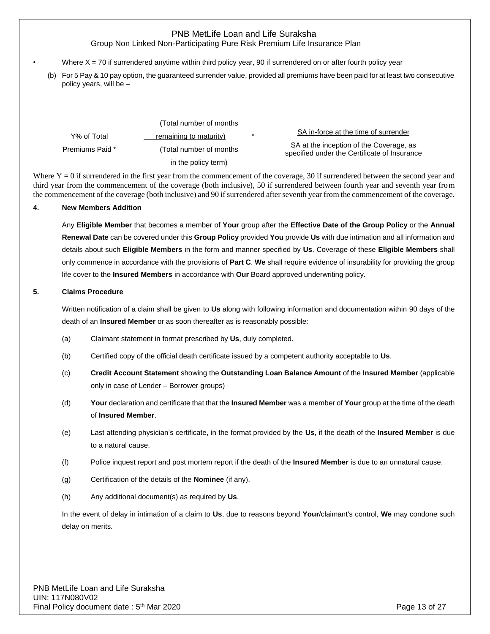Group Non Linked Non-Participating Pure Risk Premium Life Insurance Plan

- Where  $X = 70$  if surrendered anytime within third policy year, 90 if surrendered on or after fourth policy year
	- (b) For 5 Pay & 10 pay option, the guaranteed surrender value, provided all premiums have been paid for at least two consecutive policy years, will be –

|                 | (Total number of months) |        |                                                                                         |
|-----------------|--------------------------|--------|-----------------------------------------------------------------------------------------|
| Y% of Total     | remaining to maturity)   | $\ast$ | SA in-force at the time of surrender                                                    |
| Premiums Paid * | (Total number of months) |        | SA at the inception of the Coverage, as<br>specified under the Certificate of Insurance |
|                 | in the policy term)      |        |                                                                                         |

Where  $Y = 0$  if surrendered in the first year from the commencement of the coverage, 30 if surrendered between the second year and third year from the commencement of the coverage (both inclusive), 50 if surrendered between fourth year and seventh year from the commencement of the coverage (both inclusive) and 90 if surrendered after seventh year from the commencement of the coverage.

#### **4. New Members Addition**

Any **Eligible Member** that becomes a member of **Your** group after the **Effective Date of the Group Policy** or the **Annual Renewal Date** can be covered under this **Group Policy** provided **You** provide **Us** with due intimation and all information and details about such **Eligible Members** in the form and manner specified by **Us**. Coverage of these **Eligible Members** shall only commence in accordance with the provisions of **Part C**. **We** shall require evidence of insurability for providing the group life cover to the **Insured Members** in accordance with **Our** Board approved underwriting policy.

#### **5. Claims Procedure**

Written notification of a claim shall be given to **Us** along with following information and documentation within 90 days of the death of an **Insured Member** or as soon thereafter as is reasonably possible:

- (a) Claimant statement in format prescribed by **Us**, duly completed.
- (b) Certified copy of the official death certificate issued by a competent authority acceptable to **Us**.
- (c) **Credit Account Statement** showing the **Outstanding Loan Balance Amount** of the **Insured Member** (applicable only in case of Lender – Borrower groups)
- (d) **Your** declaration and certificate that that the **Insured Member** was a member of **Your** group at the time of the death of **Insured Member**.
- (e) Last attending physician's certificate, in the format provided by the **Us**, if the death of the **Insured Member** is due to a natural cause.
- (f) Police inquest report and post mortem report if the death of the **Insured Member** is due to an unnatural cause.
- (g) Certification of the details of the **Nominee** (if any).
- (h) Any additional document(s) as required by **Us**.

In the event of delay in intimation of a claim to **Us**, due to reasons beyond **Your**/claimant's control, **We** may condone such delay on merits.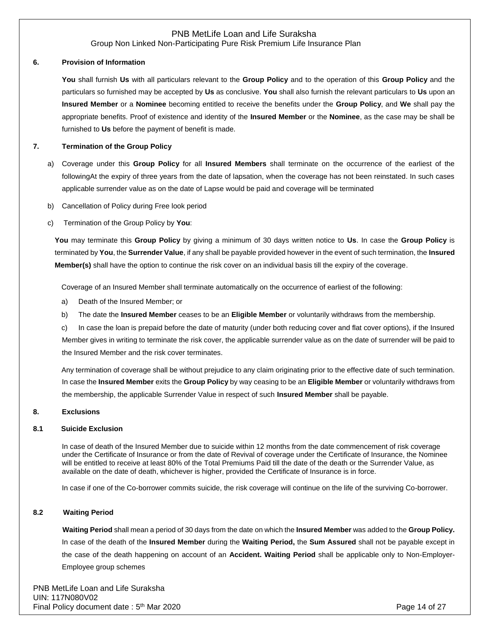Group Non Linked Non-Participating Pure Risk Premium Life Insurance Plan

#### **6. Provision of Information**

**You** shall furnish **Us** with all particulars relevant to the **Group Policy** and to the operation of this **Group Policy** and the particulars so furnished may be accepted by **Us** as conclusive. **You** shall also furnish the relevant particulars to **Us** upon an **Insured Member** or a **Nominee** becoming entitled to receive the benefits under the **Group Policy**, and **We** shall pay the appropriate benefits. Proof of existence and identity of the **Insured Member** or the **Nominee**, as the case may be shall be furnished to **Us** before the payment of benefit is made.

#### **7. Termination of the Group Policy**

- a) Coverage under this **Group Policy** for all **Insured Members** shall terminate on the occurrence of the earliest of the followingAt the expiry of three years from the date of lapsation, when the coverage has not been reinstated. In such cases applicable surrender value as on the date of Lapse would be paid and coverage will be terminated
- b) Cancellation of Policy during Free look period
- c) Termination of the Group Policy by **You**:

**You** may terminate this **Group Policy** by giving a minimum of 30 days written notice to **Us**. In case the **Group Policy** is terminated by **You**, the **Surrender Value**, if any shall be payable provided however in the event of such termination, the **Insured Member(s)** shall have the option to continue the risk cover on an individual basis till the expiry of the coverage.

Coverage of an Insured Member shall terminate automatically on the occurrence of earliest of the following:

- a) Death of the Insured Member; or
- b) The date the **Insured Member** ceases to be an **Eligible Member** or voluntarily withdraws from the membership.

c) In case the loan is prepaid before the date of maturity (under both reducing cover and flat cover options), if the Insured Member gives in writing to terminate the risk cover, the applicable surrender value as on the date of surrender will be paid to the Insured Member and the risk cover terminates.

Any termination of coverage shall be without prejudice to any claim originating prior to the effective date of such termination. In case the **Insured Member** exits the **Group Policy** by way ceasing to be an **Eligible Member** or voluntarily withdraws from the membership, the applicable Surrender Value in respect of such **Insured Member** shall be payable.

#### **8. Exclusions**

#### **8.1 Suicide Exclusion**

In case of death of the Insured Member due to suicide within 12 months from the date commencement of risk coverage under the Certificate of Insurance or from the date of Revival of coverage under the Certificate of Insurance, the Nominee will be entitled to receive at least 80% of the Total Premiums Paid till the date of the death or the Surrender Value, as available on the date of death, whichever is higher, provided the Certificate of Insurance is in force.

In case if one of the Co-borrower commits suicide, the risk coverage will continue on the life of the surviving Co-borrower.

#### **8.2 Waiting Period**

 **Waiting Period** shall mean a period of 30 days from the date on which the **Insured Member** was added to the **Group Policy.**  In case of the death of the **Insured Member** during the **Waiting Period,** the **Sum Assured** shall not be payable except in the case of the death happening on account of an **Accident. Waiting Period** shall be applicable only to Non-Employer-Employee group schemes

PNB MetLife Loan and Life Suraksha UIN: 117N080V02 Final Policy document date: 5<sup>th</sup> Mar 2020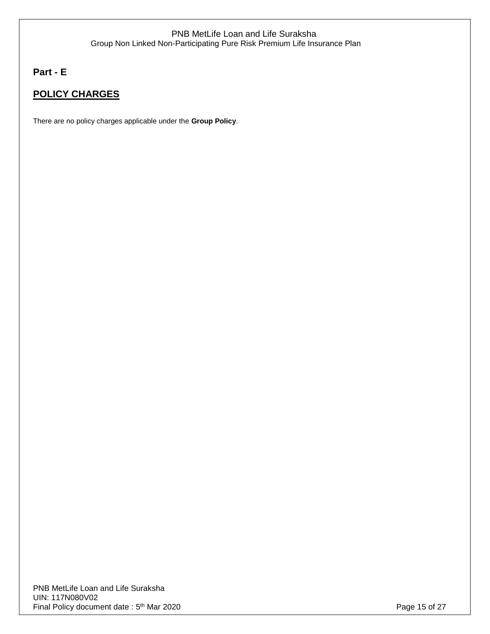# **Part - E**

# **POLICY CHARGES**

There are no policy charges applicable under the **Group Policy**.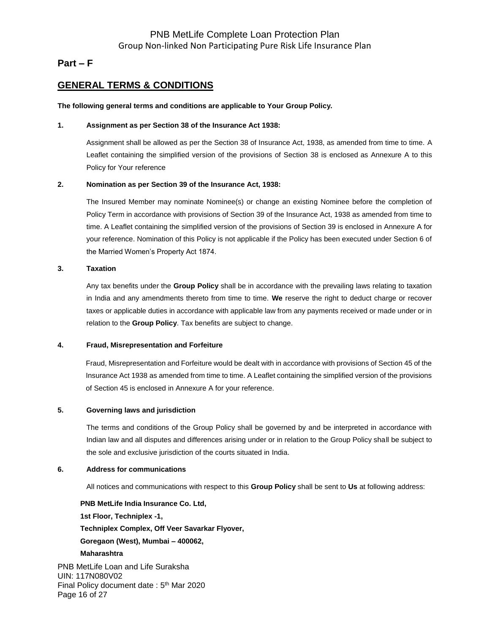## **Part – F**

# **GENERAL TERMS & CONDITIONS**

#### **The following general terms and conditions are applicable to Your Group Policy.**

#### **1. Assignment as per Section 38 of the Insurance Act 1938:**

Assignment shall be allowed as per the Section 38 of Insurance Act, 1938, as amended from time to time. A Leaflet containing the simplified version of the provisions of Section 38 is enclosed as Annexure A to this Policy for Your reference

#### **2. Nomination as per Section 39 of the Insurance Act, 1938:**

The Insured Member may nominate Nominee(s) or change an existing Nominee before the completion of Policy Term in accordance with provisions of Section 39 of the Insurance Act, 1938 as amended from time to time. A Leaflet containing the simplified version of the provisions of Section 39 is enclosed in Annexure A for your reference. Nomination of this Policy is not applicable if the Policy has been executed under Section 6 of the Married Women's Property Act 1874.

#### **3. Taxation**

Any tax benefits under the **Group Policy** shall be in accordance with the prevailing laws relating to taxation in India and any amendments thereto from time to time. **We** reserve the right to deduct charge or recover taxes or applicable duties in accordance with applicable law from any payments received or made under or in relation to the **Group Policy**. Tax benefits are subject to change.

#### **4. Fraud, Misrepresentation and Forfeiture**

Fraud, Misrepresentation and Forfeiture would be dealt with in accordance with provisions of Section 45 of the Insurance Act 1938 as amended from time to time. A Leaflet containing the simplified version of the provisions of Section 45 is enclosed in Annexure A for your reference.

#### **5. Governing laws and jurisdiction**

The terms and conditions of the Group Policy shall be governed by and be interpreted in accordance with Indian law and all disputes and differences arising under or in relation to the Group Policy shall be subject to the sole and exclusive jurisdiction of the courts situated in India.

#### **6. Address for communications**

All notices and communications with respect to this **Group Policy** shall be sent to **Us** at following address:

**PNB MetLife India Insurance Co. Ltd, 1st Floor, Techniplex -1, Techniplex Complex, Off Veer Savarkar Flyover, Goregaon (West), Mumbai – 400062, Maharashtra**

PNB MetLife Loan and Life Suraksha UIN: 117N080V02 Final Policy document date: 5<sup>th</sup> Mar 2020 Page 16 of 27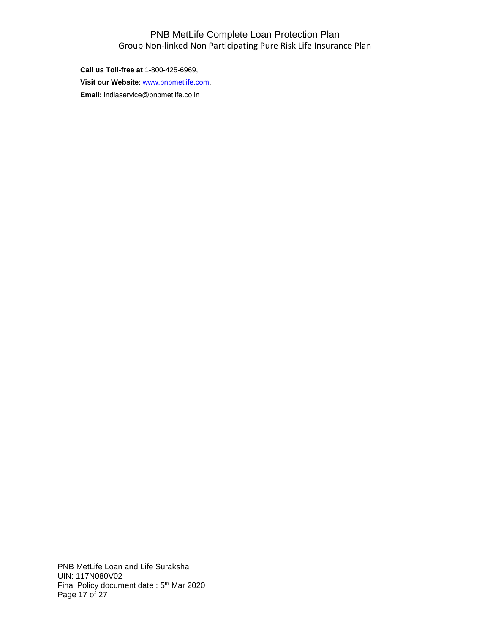# PNB MetLife Complete Loan Protection Plan Group Non-linked Non Participating Pure Risk Life Insurance Plan

**Call us Toll-free at** 1-800-425-6969, **Visit our Website**: [www.pnbmetlife.com,](http://www.pnbmetlife.com/) **Email:** indiaservice@pnbmetlife.co.in

PNB MetLife Loan and Life Suraksha UIN: 117N080V02 Final Policy document date: 5<sup>th</sup> Mar 2020 Page 17 of 27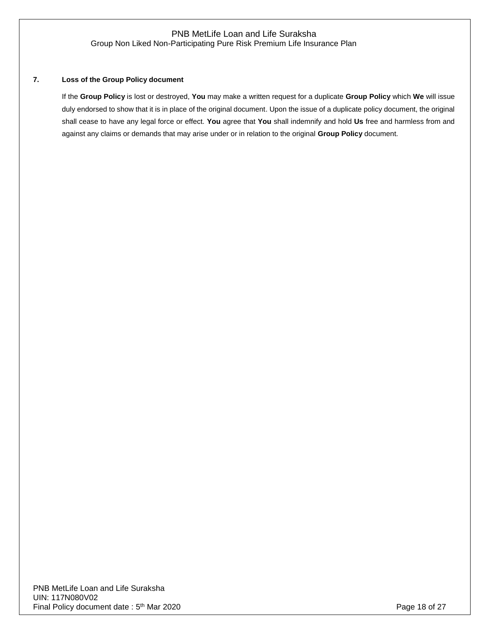### **7. Loss of the Group Policy document**

If the **Group Policy** is lost or destroyed, **You** may make a written request for a duplicate **Group Policy** which **We** will issue duly endorsed to show that it is in place of the original document. Upon the issue of a duplicate policy document, the original shall cease to have any legal force or effect. **You** agree that **You** shall indemnify and hold **Us** free and harmless from and against any claims or demands that may arise under or in relation to the original **Group Policy** document.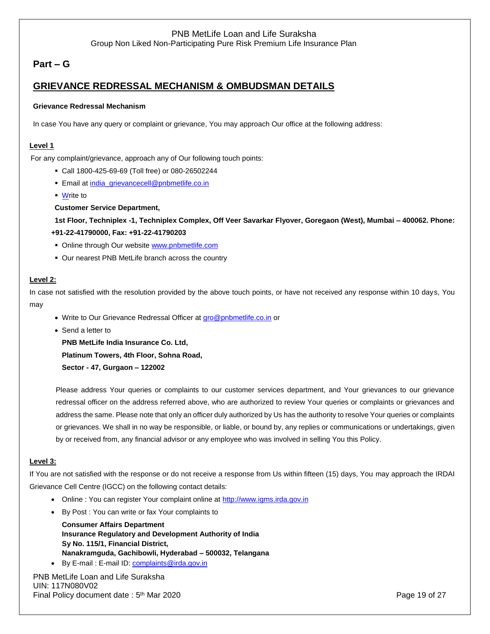# **Part – G**

# **GRIEVANCE REDRESSAL MECHANISM & OMBUDSMAN DETAILS**

#### **Grievance Redressal Mechanism**

In case You have any query or complaint or grievance, You may approach Our office at the following address:

#### **Level 1**

For any complaint/grievance, approach any of Our following touch points:

- Call 1800-425-69-69 (Toll free) or 080-26502244
- **Email a[t india\\_grievancecell@pnbmetlife.co.in](mailto:india_grievancecell@pnbmetlife.co.in)**
- Write to

#### **Customer Service Department,**

**1st Floor, Techniplex -1, Techniplex Complex, Off Veer Savarkar Flyover, Goregaon (West), Mumbai – 400062. Phone: +91-22-41790000, Fax: +91-22-41790203**

- Online through Our website [www.pnbmetlife.com](http://www.pnbmetlife.com/)
- Our nearest PNB MetLife branch across the country

#### **Level 2:**

In case not satisfied with the resolution provided by the above touch points, or have not received any response within 10 days, You may

- Write to Our Grievance Redressal Officer at [gro@pnbmetlife.co.in](mailto:gro@pnbmetlife.co.in) or
- Send a letter to
	- **PNB MetLife India Insurance Co. Ltd,**

**Platinum Towers, 4th Floor, Sohna Road,** 

**Sector - 47, Gurgaon – 122002**

Please address Your queries or complaints to our customer services department, and Your grievances to our grievance redressal officer on the address referred above, who are authorized to review Your queries or complaints or grievances and address the same. Please note that only an officer duly authorized by Us has the authority to resolve Your queries or complaints or grievances. We shall in no way be responsible, or liable, or bound by, any replies or communications or undertakings, given by or received from, any financial advisor or any employee who was involved in selling You this Policy.

#### **Level 3:**

If You are not satisfied with the response or do not receive a response from Us within fifteen (15) days, You may approach the IRDAI Grievance Cell Centre (IGCC) on the following contact details:

- Online : You can register Your complaint online at [http://www.igms.irda.gov.in](http://www.igms.irda.gov.in/)
- By Post : You can write or fax Your complaints to

**Consumer Affairs Department Insurance Regulatory and Development Authority of India Sy No. 115/1, Financial District, Nanakramguda, Gachibowli, Hyderabad – 500032, Telangana**

By E-mail: E-mail ID[: complaints@irda.gov.in](mailto:complaints@irda.gov.in)

PNB MetLife Loan and Life Suraksha UIN: 117N080V02 Final Policy document date: 5<sup>th</sup> Mar 2020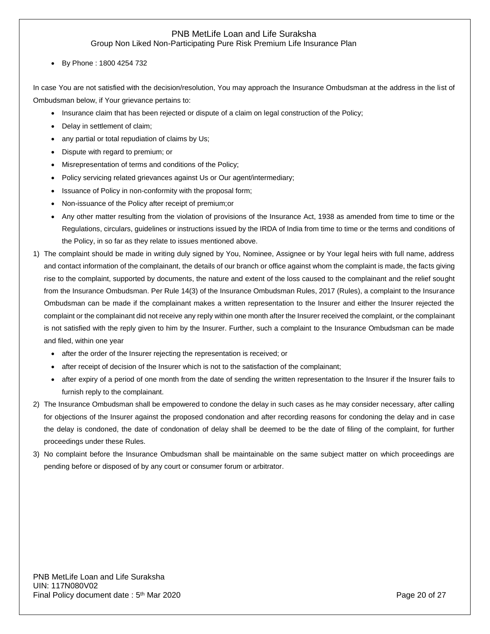Group Non Liked Non-Participating Pure Risk Premium Life Insurance Plan

By Phone : 1800 4254 732

In case You are not satisfied with the decision/resolution, You may approach the Insurance Ombudsman at the address in the list of Ombudsman below, if Your grievance pertains to:

- Insurance claim that has been rejected or dispute of a claim on legal construction of the Policy;
- Delay in settlement of claim;
- any partial or total repudiation of claims by Us;
- Dispute with regard to premium; or
- Misrepresentation of terms and conditions of the Policy;
- Policy servicing related grievances against Us or Our agent/intermediary;
- Issuance of Policy in non-conformity with the proposal form;
- Non-issuance of the Policy after receipt of premium;or
- Any other matter resulting from the violation of provisions of the Insurance Act, 1938 as amended from time to time or the Regulations, circulars, guidelines or instructions issued by the IRDA of India from time to time or the terms and conditions of the Policy, in so far as they relate to issues mentioned above.
- 1) The complaint should be made in writing duly signed by You, Nominee, Assignee or by Your legal heirs with full name, address and contact information of the complainant, the details of our branch or office against whom the complaint is made, the facts giving rise to the complaint, supported by documents, the nature and extent of the loss caused to the complainant and the relief sought from the Insurance Ombudsman. Per Rule 14(3) of the Insurance Ombudsman Rules, 2017 (Rules), a complaint to the Insurance Ombudsman can be made if the complainant makes a written representation to the Insurer and either the Insurer rejected the complaint or the complainant did not receive any reply within one month after the Insurer received the complaint, or the complainant is not satisfied with the reply given to him by the Insurer. Further, such a complaint to the Insurance Ombudsman can be made and filed, within one year
	- after the order of the Insurer rejecting the representation is received; or
	- after receipt of decision of the Insurer which is not to the satisfaction of the complainant;
	- after expiry of a period of one month from the date of sending the written representation to the Insurer if the Insurer fails to furnish reply to the complainant.
- 2) The Insurance Ombudsman shall be empowered to condone the delay in such cases as he may consider necessary, after calling for objections of the Insurer against the proposed condonation and after recording reasons for condoning the delay and in case the delay is condoned, the date of condonation of delay shall be deemed to be the date of filing of the complaint, for further proceedings under these Rules.
- 3) No complaint before the Insurance Ombudsman shall be maintainable on the same subject matter on which proceedings are pending before or disposed of by any court or consumer forum or arbitrator.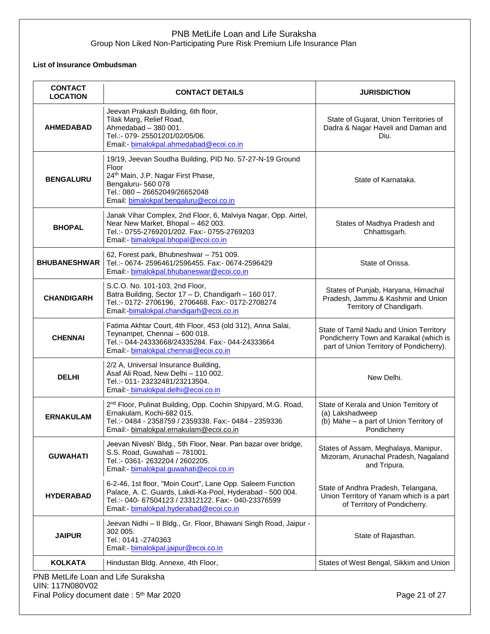### **List of Insurance Ombudsman**

| <b>CONTACT</b><br><b>LOCATION</b> | <b>CONTACT DETAILS</b>                                                                                                                                                                                                    | <b>JURISDICTION</b>                                                                                                            |
|-----------------------------------|---------------------------------------------------------------------------------------------------------------------------------------------------------------------------------------------------------------------------|--------------------------------------------------------------------------------------------------------------------------------|
| <b>AHMEDABAD</b>                  | Jeevan Prakash Building, 6th floor,<br>Tilak Marg, Relief Road,<br>Ahmedabad - 380 001.<br>Tel.:- 079-25501201/02/05/06.<br>Email:- bimalokpal.ahmedabad@ecoi.co.in                                                       | State of Gujarat, Union Territories of<br>Dadra & Nagar Haveli and Daman and<br>Diu.                                           |
| <b>BENGALURU</b>                  | 19/19, Jeevan Soudha Building, PID No. 57-27-N-19 Ground<br>Floor<br>24th Main, J.P. Nagar First Phase,<br>Bengaluru-560 078<br>Tel.: 080 - 26652049/26652048<br>Email: bimalokpal.bengaluru@ecoi.co.in                   | State of Karnataka.                                                                                                            |
| <b>BHOPAL</b>                     | Janak Vihar Complex, 2nd Floor, 6, Malviya Nagar, Opp. Airtel,<br>Near New Market, Bhopal - 462 003.<br>Tel.:- 0755-2769201/202. Fax:- 0755-2769203<br>Email:- bimalokpal.bhopal@ecoi.co.in                               | States of Madhya Pradesh and<br>Chhattisgarh.                                                                                  |
| <b>BHUBANESHWAR</b>               | 62, Forest park, Bhubneshwar - 751 009.<br>Tel.:- 0674-2596461/2596455. Fax:- 0674-2596429<br>Email:- bimalokpal.bhubaneswar@ecoi.co.in                                                                                   | State of Orissa.                                                                                                               |
| <b>CHANDIGARH</b>                 | S.C.O. No. 101-103, 2nd Floor,<br>Batra Building, Sector 17 - D, Chandigarh - 160 017.<br>Tel.:- 0172-2706196, 2706468. Fax:- 0172-2708274<br>Email:-bimalokpal.chandigarh@ecoi.co.in                                     | States of Punjab, Haryana, Himachal<br>Pradesh, Jammu & Kashmir and Union<br>Territory of Chandigarh.                          |
| <b>CHENNAI</b>                    | Fatima Akhtar Court, 4th Floor, 453 (old 312), Anna Salai,<br>Teynampet, Chennai - 600 018.<br>Tel.:- 044-24333668/24335284. Fax:- 044-24333664<br>Email - bimalokpal.chennai@ecoi.co.in                                  | State of Tamil Nadu and Union Territory<br>Pondicherry Town and Karaikal (which is<br>part of Union Territory of Pondicherry). |
| <b>DELHI</b>                      | 2/2 A, Universal Insurance Building,<br>Asaf Ali Road, New Delhi - 110 002.<br>Tel.:- 011-23232481/23213504.<br>Email - bimalokpal.delhi@ecoi.co.in                                                                       | New Delhi.                                                                                                                     |
| <b>ERNAKULAM</b>                  | 2 <sup>nd</sup> Floor, Pulinat Building, Opp. Cochin Shipyard, M.G. Road,<br>Ernakulam, Kochi-682 015.<br>Tel.:- 0484 - 2358759 / 2359338. Fax:- 0484 - 2359336<br>Email:- bimalokpal.ernakulam@ecoi.co.in                | State of Kerala and Union Territory of<br>(a) Lakshadweep<br>(b) Mahe - a part of Union Territory of<br>Pondicherry            |
| <b>GUWAHATI</b>                   | Jeevan Nivesh' Bldg., 5th Floor, Near. Pan bazar over bridge,<br>S.S. Road, Guwahati - 781001.<br>Tel.:- 0361-2632204 / 2602205.<br>Email:- bimalokpal.guwahati@ecoi.co.in                                                | States of Assam, Meghalaya, Manipur,<br>Mizoram, Arunachal Pradesh, Nagaland<br>and Tripura.                                   |
| <b>HYDERABAD</b>                  | 6-2-46, 1st floor, "Moin Court", Lane Opp. Saleem Function<br>Palace, A. C. Guards, Lakdi-Ka-Pool, Hyderabad - 500 004.<br>Tel.:- 040- 67504123 / 23312122. Fax:- 040-23376599<br>Email:- bimalokpal.hyderabad@ecoi.co.in | State of Andhra Pradesh, Telangana,<br>Union Territory of Yanam which is a part<br>of Territory of Pondicherry.                |
| <b>JAIPUR</b>                     | Jeevan Nidhi - Il Bldg., Gr. Floor, Bhawani Singh Road, Jaipur -<br>302 005.<br>Tel.: 0141 -2740363<br>Email: bimalokpal.jaipur@ecoi.co.in                                                                                | State of Rajasthan.                                                                                                            |
| <b>KOLKATA</b>                    | Hindustan Bldg. Annexe, 4th Floor,                                                                                                                                                                                        | States of West Bengal, Sikkim and Union                                                                                        |

PNB MetLife Loan and Life Suraksha UIN: 117N080V02 Final Policy document date : 5<sup>th</sup> Mar 2020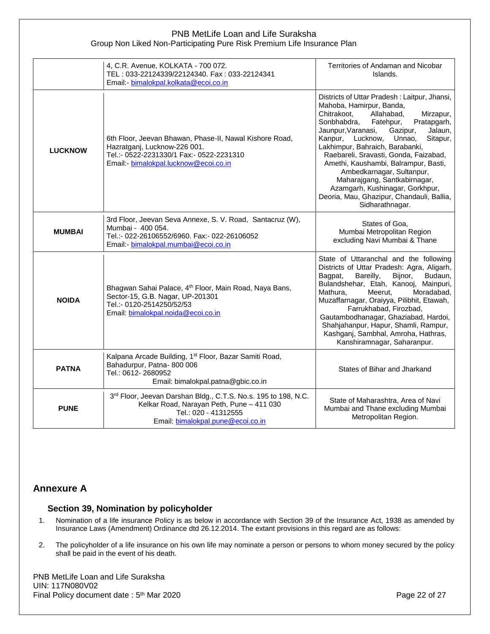|                | 4, C.R. Avenue, KOLKATA - 700 072.<br>TEL: 033-22124339/22124340. Fax: 033-22124341<br>Email:- bimalokpal.kolkata@ecoi.co.in                                                 | Territories of Andaman and Nicobar<br>Islands.                                                                                                                                                                                                                                                                                                                                                                                                                                                                                           |
|----------------|------------------------------------------------------------------------------------------------------------------------------------------------------------------------------|------------------------------------------------------------------------------------------------------------------------------------------------------------------------------------------------------------------------------------------------------------------------------------------------------------------------------------------------------------------------------------------------------------------------------------------------------------------------------------------------------------------------------------------|
| <b>LUCKNOW</b> | 6th Floor, Jeevan Bhawan, Phase-II, Nawal Kishore Road,<br>Hazratganj, Lucknow-226 001.<br>Tel.:- 0522-2231330/1 Fax:- 0522-2231310<br>Email:- bimalokpal.lucknow@ecoi.co.in | Districts of Uttar Pradesh: Laitpur, Jhansi,<br>Mahoba, Hamirpur, Banda,<br>Chitrakoot,<br>Allahabad,<br>Mirzapur,<br>Sonbhabdra,<br>Fatehpur,<br>Pratapgarh,<br>Jaunpur, Varanasi,<br>Gazipur,<br>Jalaun,<br>Kanpur, Lucknow,<br>Unnao,<br>Sitapur,<br>Lakhimpur, Bahraich, Barabanki,<br>Raebareli, Sravasti, Gonda, Faizabad,<br>Amethi, Kaushambi, Balrampur, Basti,<br>Ambedkarnagar, Sultanpur,<br>Maharajgang, Santkabirnagar,<br>Azamgarh, Kushinagar, Gorkhpur,<br>Deoria, Mau, Ghazipur, Chandauli, Ballia,<br>Sidharathnagar. |
| <b>MUMBAI</b>  | 3rd Floor, Jeevan Seva Annexe, S. V. Road, Santacruz (W),<br>Mumbai - 400 054.<br>Tel.:- 022-26106552/6960. Fax:- 022-26106052<br>Email: - bimalokpal.mumbai@ecoi.co.in      | States of Goa,<br>Mumbai Metropolitan Region<br>excluding Navi Mumbai & Thane                                                                                                                                                                                                                                                                                                                                                                                                                                                            |
| <b>NOIDA</b>   | Bhagwan Sahai Palace, 4 <sup>th</sup> Floor, Main Road, Naya Bans,<br>Sector-15, G.B. Nagar, UP-201301<br>Tel.:- 0120-2514250/52/53<br>Email: bimalokpal.noida@ecoi.co.in    | State of Uttaranchal and the following<br>Districts of Uttar Pradesh: Agra, Aligarh,<br>Bareilly,<br>Bagpat,<br>Bijnor,<br>Budaun,<br>Bulandshehar, Etah, Kanooj, Mainpuri,<br>Meerut,<br>Mathura,<br>Moradabad,<br>Muzaffarnagar, Oraiyya, Pilibhit, Etawah,<br>Farrukhabad, Firozbad,<br>Gautambodhanagar, Ghaziabad, Hardoi,<br>Shahjahanpur, Hapur, Shamli, Rampur,<br>Kashganj, Sambhal, Amroha, Hathras,<br>Kanshiramnagar, Saharanpur.                                                                                            |
| <b>PATNA</b>   | Kalpana Arcade Building, 1 <sup>st</sup> Floor, Bazar Samiti Road,<br>Bahadurpur, Patna-800 006<br>Tel.: 0612-2680952<br>Email: bimalokpal.patna@gbic.co.in                  | States of Bihar and Jharkand                                                                                                                                                                                                                                                                                                                                                                                                                                                                                                             |
| <b>PUNE</b>    | 3rd Floor, Jeevan Darshan Bldg., C.T.S. No.s. 195 to 198, N.C.<br>Kelkar Road, Narayan Peth, Pune - 411 030<br>Tel.: 020 - 41312555<br>Email: bimalokpal.pune@ecoi.co.in     | State of Maharashtra, Area of Navi<br>Mumbai and Thane excluding Mumbai<br>Metropolitan Region.                                                                                                                                                                                                                                                                                                                                                                                                                                          |

# **Annexure A**

# **Section 39, Nomination by policyholder**

- 1. Nomination of a life insurance Policy is as below in accordance with Section 39 of the Insurance Act, 1938 as amended by Insurance Laws (Amendment) Ordinance dtd 26.12.2014. The extant provisions in this regard are as follows:
- 2. The policyholder of a life insurance on his own life may nominate a person or persons to whom money secured by the policy shall be paid in the event of his death.

PNB MetLife Loan and Life Suraksha UIN: 117N080V02 Final Policy document date : 5<sup>th</sup> Mar 2020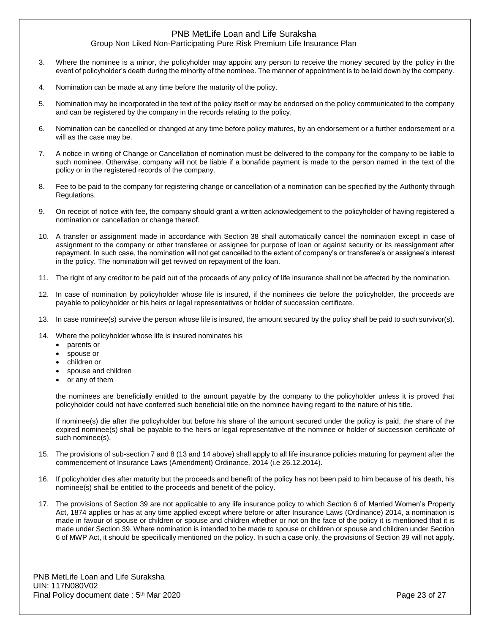### Group Non Liked Non-Participating Pure Risk Premium Life Insurance Plan

- 3. Where the nominee is a minor, the policyholder may appoint any person to receive the money secured by the policy in the event of policyholder's death during the minority of the nominee. The manner of appointment is to be laid down by the company.
- 4. Nomination can be made at any time before the maturity of the policy.
- 5. Nomination may be incorporated in the text of the policy itself or may be endorsed on the policy communicated to the company and can be registered by the company in the records relating to the policy.
- 6. Nomination can be cancelled or changed at any time before policy matures, by an endorsement or a further endorsement or a will as the case may be.
- 7. A notice in writing of Change or Cancellation of nomination must be delivered to the company for the company to be liable to such nominee. Otherwise, company will not be liable if a bonafide payment is made to the person named in the text of the policy or in the registered records of the company.
- 8. Fee to be paid to the company for registering change or cancellation of a nomination can be specified by the Authority through Regulations.
- 9. On receipt of notice with fee, the company should grant a written acknowledgement to the policyholder of having registered a nomination or cancellation or change thereof.
- 10. A transfer or assignment made in accordance with Section 38 shall automatically cancel the nomination except in case of assignment to the company or other transferee or assignee for purpose of loan or against security or its reassignment after repayment. In such case, the nomination will not get cancelled to the extent of company's or transferee's or assignee's interest in the policy. The nomination will get revived on repayment of the loan.
- 11. The right of any creditor to be paid out of the proceeds of any policy of life insurance shall not be affected by the nomination.
- 12. In case of nomination by policyholder whose life is insured, if the nominees die before the policyholder, the proceeds are payable to policyholder or his heirs or legal representatives or holder of succession certificate.
- 13. In case nominee(s) survive the person whose life is insured, the amount secured by the policy shall be paid to such survivor(s).
- 14. Where the policyholder whose life is insured nominates his
	- parents or
	- spouse or
	- children or
	- spouse and children
	- or any of them

the nominees are beneficially entitled to the amount payable by the company to the policyholder unless it is proved that policyholder could not have conferred such beneficial title on the nominee having regard to the nature of his title.

If nominee(s) die after the policyholder but before his share of the amount secured under the policy is paid, the share of the expired nominee(s) shall be payable to the heirs or legal representative of the nominee or holder of succession certificate of such nominee(s).

- 15. The provisions of sub-section 7 and 8 (13 and 14 above) shall apply to all life insurance policies maturing for payment after the commencement of Insurance Laws (Amendment) Ordinance, 2014 (i.e 26.12.2014).
- 16. If policyholder dies after maturity but the proceeds and benefit of the policy has not been paid to him because of his death, his nominee(s) shall be entitled to the proceeds and benefit of the policy.
- 17. The provisions of Section 39 are not applicable to any life insurance policy to which Section 6 of Married Women's Property Act, 1874 applies or has at any time applied except where before or after Insurance Laws (Ordinance) 2014, a nomination is made in favour of spouse or children or spouse and children whether or not on the face of the policy it is mentioned that it is made under Section 39. Where nomination is intended to be made to spouse or children or spouse and children under Section 6 of MWP Act, it should be specifically mentioned on the policy. In such a case only, the provisions of Section 39 will not apply.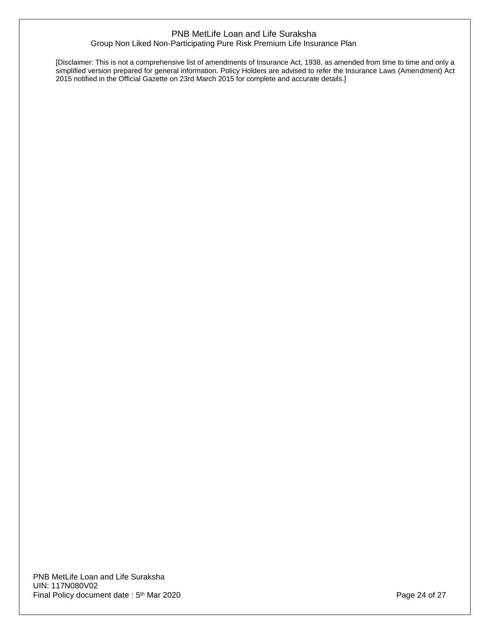[Disclaimer: This is not a comprehensive list of amendments of Insurance Act, 1938, as amended from time to time and only a simplified version prepared for general information. Policy Holders are advised to refer the Insurance Laws (Amendment) Act 2015 notified in the Official Gazette on 23rd March 2015 for complete and accurate details.]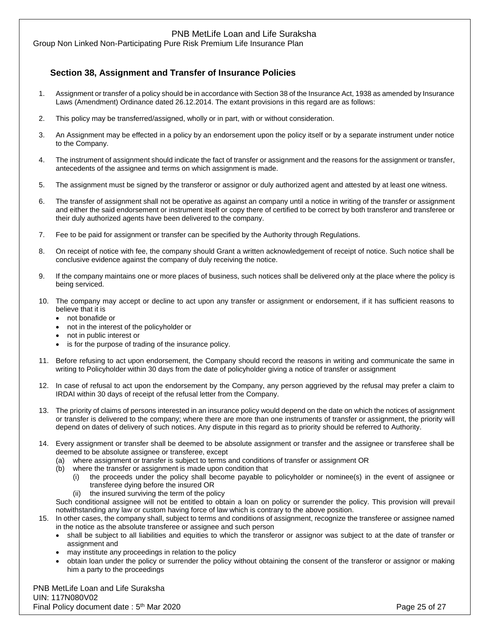Group Non Linked Non-Participating Pure Risk Premium Life Insurance Plan

# **Section 38, Assignment and Transfer of Insurance Policies**

- 1. Assignment or transfer of a policy should be in accordance with Section 38 of the Insurance Act, 1938 as amended by Insurance Laws (Amendment) Ordinance dated 26.12.2014. The extant provisions in this regard are as follows:
- 2. This policy may be transferred/assigned, wholly or in part, with or without consideration.
- 3. An Assignment may be effected in a policy by an endorsement upon the policy itself or by a separate instrument under notice to the Company.
- 4. The instrument of assignment should indicate the fact of transfer or assignment and the reasons for the assignment or transfer, antecedents of the assignee and terms on which assignment is made.
- 5. The assignment must be signed by the transferor or assignor or duly authorized agent and attested by at least one witness.
- 6. The transfer of assignment shall not be operative as against an company until a notice in writing of the transfer or assignment and either the said endorsement or instrument itself or copy there of certified to be correct by both transferor and transferee or their duly authorized agents have been delivered to the company.
- 7. Fee to be paid for assignment or transfer can be specified by the Authority through Regulations.
- 8. On receipt of notice with fee, the company should Grant a written acknowledgement of receipt of notice. Such notice shall be conclusive evidence against the company of duly receiving the notice.
- 9. If the company maintains one or more places of business, such notices shall be delivered only at the place where the policy is being serviced.
- 10. The company may accept or decline to act upon any transfer or assignment or endorsement, if it has sufficient reasons to believe that it is
	- not bonafide or
	- not in the interest of the policyholder or
	- not in public interest or
	- is for the purpose of trading of the insurance policy.
- 11. Before refusing to act upon endorsement, the Company should record the reasons in writing and communicate the same in writing to Policyholder within 30 days from the date of policyholder giving a notice of transfer or assignment
- 12. In case of refusal to act upon the endorsement by the Company, any person aggrieved by the refusal may prefer a claim to IRDAI within 30 days of receipt of the refusal letter from the Company.
- 13. The priority of claims of persons interested in an insurance policy would depend on the date on which the notices of assignment or transfer is delivered to the company; where there are more than one instruments of transfer or assignment, the priority will depend on dates of delivery of such notices. Any dispute in this regard as to priority should be referred to Authority.
- 14. Every assignment or transfer shall be deemed to be absolute assignment or transfer and the assignee or transferee shall be deemed to be absolute assignee or transferee, except
	- (a) where assignment or transfer is subject to terms and conditions of transfer or assignment OR
	- (b) where the transfer or assignment is made upon condition that
		- (i) the proceeds under the policy shall become payable to policyholder or nominee(s) in the event of assignee or transferee dying before the insured OR
		- (ii) the insured surviving the term of the policy

Such conditional assignee will not be entitled to obtain a loan on policy or surrender the policy. This provision will prevail notwithstanding any law or custom having force of law which is contrary to the above position.

- 15. In other cases, the company shall, subject to terms and conditions of assignment, recognize the transferee or assignee named in the notice as the absolute transferee or assignee and such person
	- shall be subject to all liabilities and equities to which the transferor or assignor was subject to at the date of transfer or assignment and
	- may institute any proceedings in relation to the policy
	- obtain loan under the policy or surrender the policy without obtaining the consent of the transferor or assignor or making him a party to the proceedings

PNB MetLife Loan and Life Suraksha UIN: 117N080V02 Final Policy document date: 5<sup>th</sup> Mar 2020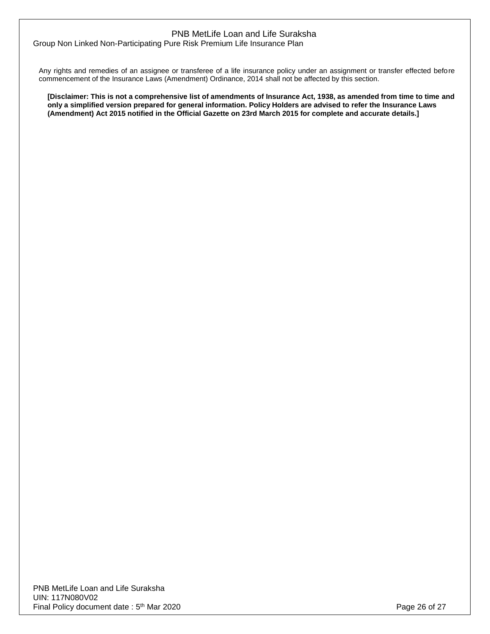Group Non Linked Non-Participating Pure Risk Premium Life Insurance Plan

Any rights and remedies of an assignee or transferee of a life insurance policy under an assignment or transfer effected before commencement of the Insurance Laws (Amendment) Ordinance, 2014 shall not be affected by this section.

**[Disclaimer: This is not a comprehensive list of amendments of Insurance Act, 1938, as amended from time to time and only a simplified version prepared for general information. Policy Holders are advised to refer the Insurance Laws (Amendment) Act 2015 notified in the Official Gazette on 23rd March 2015 for complete and accurate details.]**